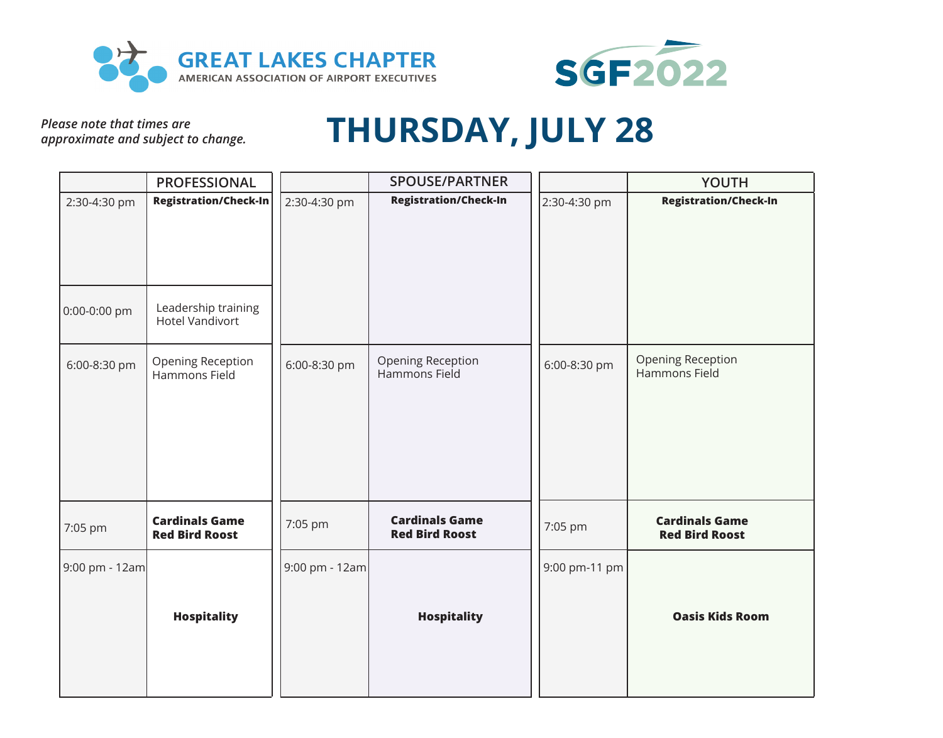



*Please note that times are approximate and subject to change.*

## **THURSDAY, JULY 28**

|                              | <b>PROFESSIONAL</b>                                                           |                | <b>SPOUSE/PARTNER</b>                          |               | <b>YOUTH</b>                                   |
|------------------------------|-------------------------------------------------------------------------------|----------------|------------------------------------------------|---------------|------------------------------------------------|
| 2:30-4:30 pm<br>0:00-0:00 pm | <b>Registration/Check-In</b><br>Leadership training<br><b>Hotel Vandivort</b> | 2:30-4:30 pm   | <b>Registration/Check-In</b>                   | 2:30-4:30 pm  | <b>Registration/Check-In</b>                   |
| 6:00-8:30 pm                 | Opening Reception<br>Hammons Field                                            | 6:00-8:30 pm   | Opening Reception<br>Hammons Field             | 6:00-8:30 pm  | Opening Reception<br>Hammons Field             |
| 7:05 pm                      | <b>Cardinals Game</b><br><b>Red Bird Roost</b>                                | 7:05 pm        | <b>Cardinals Game</b><br><b>Red Bird Roost</b> | 7:05 pm       | <b>Cardinals Game</b><br><b>Red Bird Roost</b> |
| 9:00 pm - 12am               | <b>Hospitality</b>                                                            | 9:00 pm - 12am | <b>Hospitality</b>                             | 9:00 pm-11 pm | <b>Oasis Kids Room</b>                         |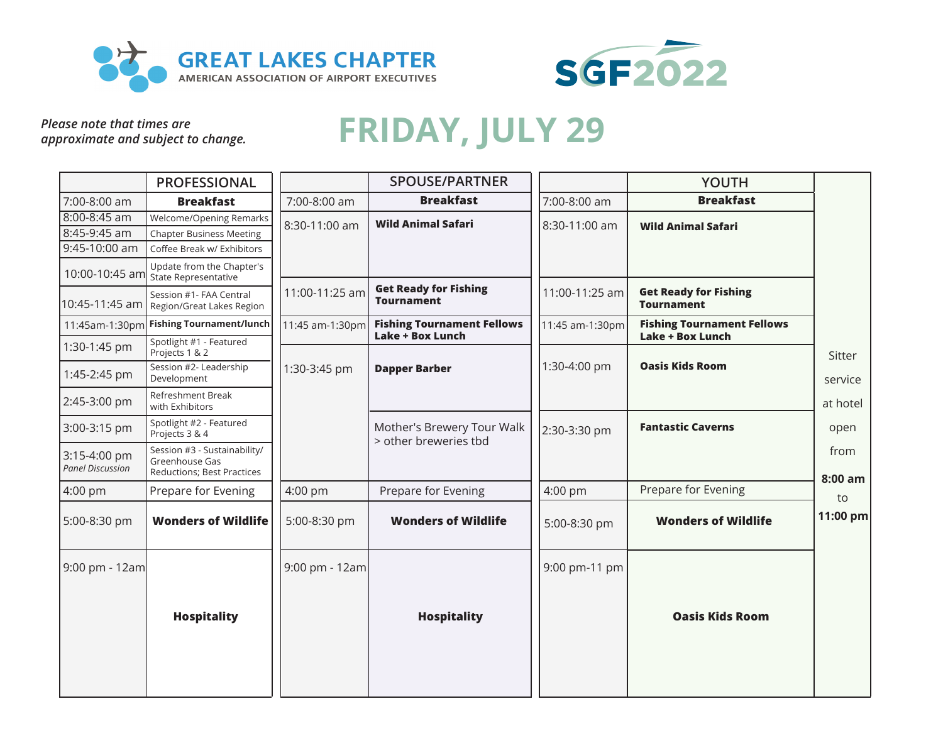



*approximate and subject to change.*

## Please note that times are approximate and subject to change. FRIDAY, JULY 29

|                                         | <b>PROFESSIONAL</b>                                                          |                 | <b>SPOUSE/PARTNER</b>                                        |                 | <b>YOUTH</b>                                      |                 |
|-----------------------------------------|------------------------------------------------------------------------------|-----------------|--------------------------------------------------------------|-----------------|---------------------------------------------------|-----------------|
| 7:00-8:00 am                            | <b>Breakfast</b>                                                             | 7:00-8:00 am    | <b>Breakfast</b>                                             | 7:00-8:00 am    | <b>Breakfast</b>                                  |                 |
| $8:00 - 8:45$ am                        | Welcome/Opening Remarks                                                      | 8:30-11:00 am   | <b>Wild Animal Safari</b>                                    | 8:30-11:00 am   | <b>Wild Animal Safari</b>                         |                 |
| 8:45-9:45 am                            | <b>Chapter Business Meeting</b>                                              |                 |                                                              |                 |                                                   |                 |
| 9:45-10:00 am                           | Coffee Break w/ Exhibitors                                                   |                 |                                                              |                 |                                                   |                 |
| 10:00-10:45 am                          | Update from the Chapter's<br>State Representative                            |                 |                                                              |                 |                                                   |                 |
| 10:45-11:45 am                          | Session #1- FAA Central<br>Region/Great Lakes Region                         | 11:00-11:25 am  | <b>Get Ready for Fishing</b><br><b>Tournament</b>            | 11:00-11:25 am  | <b>Get Ready for Fishing</b><br><b>Tournament</b> |                 |
| 11:45am-1:30pm                          | <b>Fishing Tournament/lunch</b>                                              | 11:45 am-1:30pm | <b>Fishing Tournament Fellows</b><br><b>Lake + Box Lunch</b> | 11:45 am-1:30pm | <b>Fishing Tournament Fellows</b>                 |                 |
| 1:30-1:45 pm                            | Spotlight #1 - Featured<br>Projects 1 & 2                                    |                 |                                                              |                 | <b>Lake + Box Lunch</b>                           | Sitter          |
| 1:45-2:45 pm                            | Session #2- Leadership<br>Development                                        | 1:30-3:45 pm    | <b>Dapper Barber</b>                                         | 1:30-4:00 pm    | <b>Oasis Kids Room</b>                            | service         |
| 2:45-3:00 pm                            | Refreshment Break<br>with Exhibitors                                         |                 |                                                              |                 |                                                   | at hotel        |
| 3:00-3:15 pm                            | Spotlight #2 - Featured<br>Projects 3 & 4                                    |                 | Mother's Brewery Tour Walk                                   | 2:30-3:30 pm    | <b>Fantastic Caverns</b>                          | open            |
| 3:15-4:00 pm<br><b>Panel Discussion</b> | Session #3 - Sustainability/<br>Greenhouse Gas<br>Reductions; Best Practices |                 |                                                              |                 |                                                   | from<br>8:00 am |
| 4:00 pm                                 | Prepare for Evening                                                          | $4:00$ pm       | Prepare for Evening                                          | 4:00 pm         | Prepare for Evening                               | to              |
| 5:00-8:30 pm                            | <b>Wonders of Wildlife</b>                                                   | 5:00-8:30 pm    | <b>Wonders of Wildlife</b>                                   | 5:00-8:30 pm    | <b>Wonders of Wildlife</b>                        | 11:00 pm        |
| 9:00 pm - 12am                          |                                                                              | 9:00 pm - 12am  |                                                              | 9:00 pm-11 pm   |                                                   |                 |
|                                         | <b>Hospitality</b>                                                           |                 | <b>Hospitality</b>                                           |                 | <b>Oasis Kids Room</b>                            |                 |
|                                         |                                                                              |                 | > other breweries tbd                                        |                 |                                                   |                 |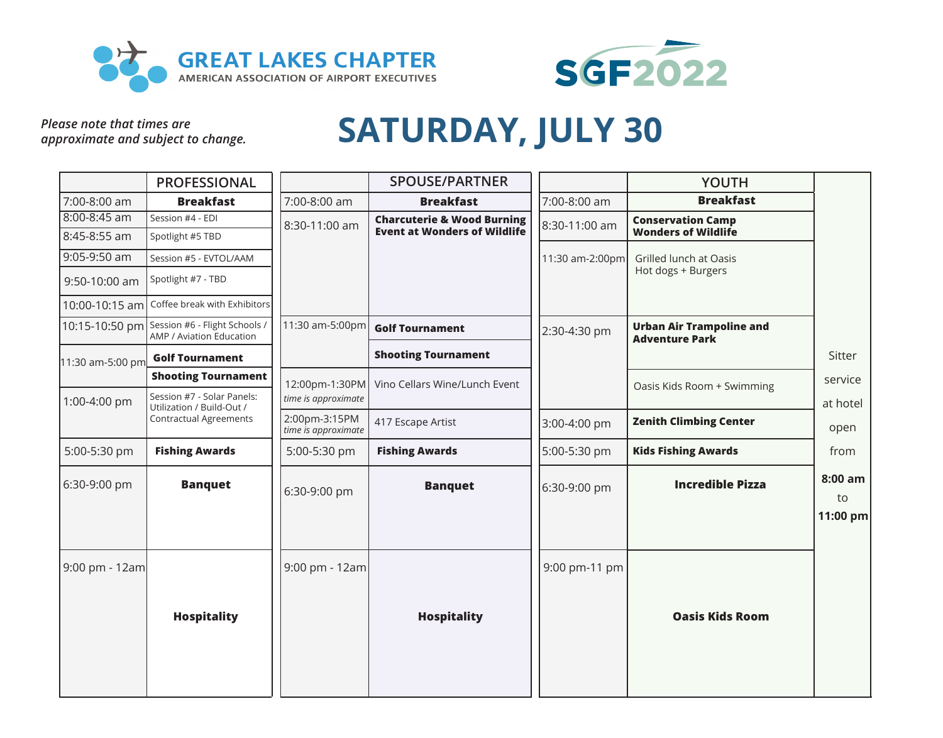



*Please note that times are approximate and subject to change.*

## **SATURDAY, JULY 30**

|                  | <b>PROFESSIONAL</b>                                                      |                                      | <b>SPOUSE/PARTNER</b>                 |                 | <b>YOUTH</b>                                             |                           |
|------------------|--------------------------------------------------------------------------|--------------------------------------|---------------------------------------|-----------------|----------------------------------------------------------|---------------------------|
| 7:00-8:00 am     | <b>Breakfast</b>                                                         | 7:00-8:00 am                         | <b>Breakfast</b>                      | 7:00-8:00 am    | <b>Breakfast</b>                                         |                           |
| $8:00 - 8:45$ am | Session #4 - EDI                                                         | 8:30-11:00 am                        | <b>Charcuterie &amp; Wood Burning</b> | 8:30-11:00 am   | <b>Conservation Camp</b>                                 |                           |
| 8:45-8:55 am     | Spotlight #5 TBD                                                         |                                      | <b>Event at Wonders of Wildlife</b>   |                 | <b>Wonders of Wildlife</b>                               |                           |
| 9:05-9:50 am     | Session #5 - EVTOL/AAM                                                   |                                      |                                       | 11:30 am-2:00pm | Grilled lunch at Oasis                                   |                           |
| 9:50-10:00 am    | Spotlight #7 - TBD                                                       |                                      |                                       |                 | Hot dogs + Burgers                                       |                           |
| 10:00-10:15 am   | Coffee break with Exhibitors                                             |                                      |                                       |                 |                                                          |                           |
|                  | 10:15-10:50 pm Session #6 - Flight Schools /<br>AMP / Aviation Education | 11:30 am-5:00pm                      | <b>Golf Tournament</b>                | 2:30-4:30 pm    | <b>Urban Air Trampoline and</b><br><b>Adventure Park</b> |                           |
| 11:30 am-5:00 pm | <b>Golf Tournament</b>                                                   |                                      | <b>Shooting Tournament</b>            |                 |                                                          | Sitter                    |
|                  | <b>Shooting Tournament</b>                                               | 12:00pm-1:30PM                       | Vino Cellars Wine/Lunch Event         |                 | Oasis Kids Room + Swimming                               | service                   |
| 1:00-4:00 pm     | Session #7 - Solar Panels:<br>Utilization / Build-Out /                  | time is approximate                  |                                       |                 |                                                          | at hotel                  |
|                  | <b>Contractual Agreements</b>                                            | 2:00pm-3:15PM<br>time is approximate | 417 Escape Artist                     | 3:00-4:00 pm    | <b>Zenith Climbing Center</b>                            | open                      |
| 5:00-5:30 pm     | <b>Fishing Awards</b>                                                    | 5:00-5:30 pm                         | <b>Fishing Awards</b>                 | 5:00-5:30 pm    | <b>Kids Fishing Awards</b>                               | from                      |
| 6:30-9:00 pm     | <b>Banquet</b>                                                           | 6:30-9:00 pm                         | <b>Banquet</b>                        | 6:30-9:00 pm    | <b>Incredible Pizza</b>                                  | 8:00 am<br>to<br>11:00 pm |
| 9:00 pm - 12am   |                                                                          | 9:00 pm - 12am                       |                                       | 9:00 pm-11 pm   |                                                          |                           |
|                  | <b>Hospitality</b>                                                       |                                      | <b>Hospitality</b>                    |                 | <b>Oasis Kids Room</b>                                   |                           |